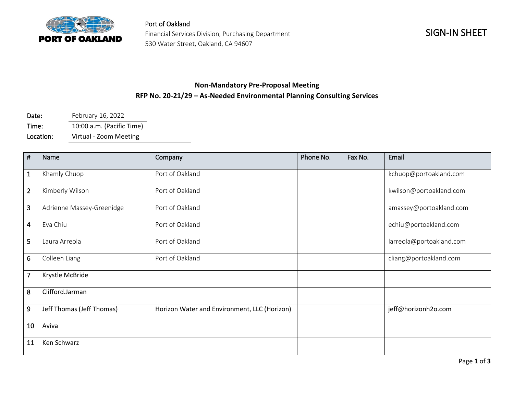

Port of Oakland Financial Services Division, Purchasing Department 530 Water Street, Oakland, CA 94607

## **Non-Mandatory Pre-Proposal Meeting RFP No. 20-21/29 – As-Needed Environmental Planning Consulting Services**

Date: February 16, 2022 Time: 10:00 a.m. (Pacific Time)

Location: Virtual - Zoom Meeting

| #                       | Name                      | Company                                      | Phone No. | Fax No. | Email                    |
|-------------------------|---------------------------|----------------------------------------------|-----------|---------|--------------------------|
| $\mathbf{1}$            | Khamly Chuop              | Port of Oakland                              |           |         | kchuop@portoakland.com   |
| $\overline{2}$          | Kimberly Wilson           | Port of Oakland                              |           |         | kwilson@portoakland.com  |
| 3                       | Adrienne Massey-Greenidge | Port of Oakland                              |           |         | amassey@portoakland.com  |
| $\overline{\mathbf{4}}$ | Eva Chiu                  | Port of Oakland                              |           |         | echiu@portoakland.com    |
| 5                       | Laura Arreola             | Port of Oakland                              |           |         | larreola@portoakland.com |
| 6                       | Colleen Liang             | Port of Oakland                              |           |         | cliang@portoakland.com   |
| $\overline{7}$          | Krystle McBride           |                                              |           |         |                          |
| 8                       | Clifford.Jarman           |                                              |           |         |                          |
| 9                       | Jeff Thomas (Jeff Thomas) | Horizon Water and Environment, LLC (Horizon) |           |         | jeff@horizonh2o.com      |
| 10                      | Aviva                     |                                              |           |         |                          |
| 11                      | Ken Schwarz               |                                              |           |         |                          |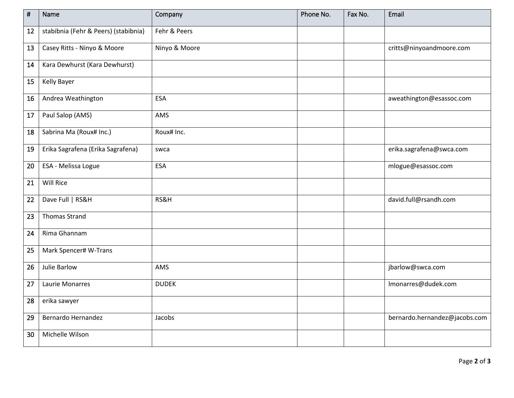| $\vert$ # | Name                                 | Company       | Phone No. | Fax No. | Email                         |
|-----------|--------------------------------------|---------------|-----------|---------|-------------------------------|
| 12        | stabibnia (Fehr & Peers) (stabibnia) | Fehr & Peers  |           |         |                               |
| 13        | Casey Ritts - Ninyo & Moore          | Ninyo & Moore |           |         | critts@ninyoandmoore.com      |
| 14        | Kara Dewhurst (Kara Dewhurst)        |               |           |         |                               |
| 15        | <b>Kelly Bayer</b>                   |               |           |         |                               |
| 16        | Andrea Weathington                   | <b>ESA</b>    |           |         | aweathington@esassoc.com      |
| $17\,$    | Paul Salop (AMS)                     | AMS           |           |         |                               |
| 18        | Sabrina Ma (Roux# Inc.)              | Roux# Inc.    |           |         |                               |
| 19        | Erika Sagrafena (Erika Sagrafena)    | swca          |           |         | erika.sagrafena@swca.com      |
| 20        | ESA - Melissa Logue                  | <b>ESA</b>    |           |         | mlogue@esassoc.com            |
| 21        | Will Rice                            |               |           |         |                               |
| 22        | Dave Full   RS&H                     | RS&H          |           |         | david.full@rsandh.com         |
| 23        | <b>Thomas Strand</b>                 |               |           |         |                               |
| 24        | Rima Ghannam                         |               |           |         |                               |
| 25        | Mark Spencer# W-Trans                |               |           |         |                               |
| 26        | Julie Barlow                         | AMS           |           |         | jbarlow@swca.com              |
| 27        | Laurie Monarres                      | <b>DUDEK</b>  |           |         | Imonarres@dudek.com           |
| 28        | erika sawyer                         |               |           |         |                               |
| 29        | Bernardo Hernandez                   | Jacobs        |           |         | bernardo.hernandez@jacobs.com |
| 30        | Michelle Wilson                      |               |           |         |                               |